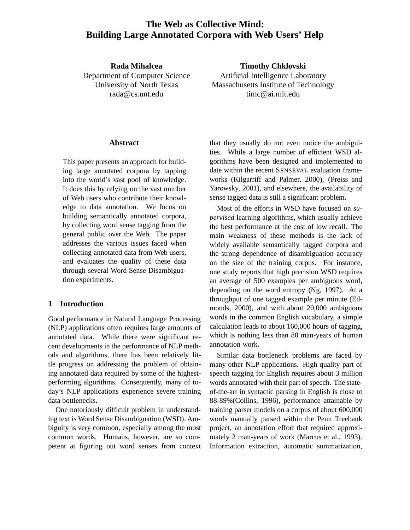# **The Web as Collective Mind: Building Large Annotated Corpora with Web Users' Help**

**Rada Mihalcea** Department of Computer Science University of North Texas rada@cs.unt.edu

**Timothy Chklovski** Artificial Intelligence Laboratory

Massachusetts Institute of Technology timc@ai.mit.edu

#### **Abstract**

This paper presents an approach for building large annotated corpora by tapping into the world's vast pool of knowledge. It does this by relying on the vast number of Web users who contribute their knowledge to data annotation. We focus on building semantically annotated corpora, by collecting word sense tagging from the general public over the Web. The paper addresses the various issues faced when collecting annotated data from Web users, and evaluates the quality of these data through several Word Sense Disambiguation experiments.

### **1 Introduction**

Good performance in Natural Language Processing (NLP) applications often requires large amounts of annotated data. While there were significant recent developments in the performance of NLP methods and algorithms, there has been relatively little progress on addressing the problem of obtaining annotated data required by some of the highestperforming algorithms. Consequently, many of today's NLP applications experience severe training data bottlenecks.

One notoriously difficult problem in understanding text is Word Sense Disambiguation (WSD). Ambiguity is very common, especially among the most common words. Humans, however, are so competent at figuring out word senses from context that they usually do not even notice the ambiguities. While a large number of efficient WSD algorithms have been designed and implemented to date within the recent SENSEVAL evaluation frameworks (Kilgarriff and Palmer, 2000), (Preiss and Yarowsky, 2001), and elsewhere, the availability of sense tagged data is still a significant problem.

Most of the efforts in WSD have focused on *supervised* learning algorithms, which usually achieve the best performance at the cost of low recall. The main weakness of these methods is the lack of widely available semantically tagged corpora and the strong dependence of disambiguation accuracy on the size of the training corpus. For instance, one study reports that high precision WSD requires an average of 500 examples per ambiguous word, depending on the word entropy (Ng, 1997). At a throughput of one tagged example per minute (Edmonds, 2000), and with about 20,000 ambiguous words in the common English vocabulary, a simple calculation leads to about 160,000 hours of tagging, which is nothing less than 80 man-years of human annotation work.

Similar data bottleneck problems are faced by many other NLP applications. High quality part of speech tagging for English requires about 3 million words annotated with their part of speech. The stateof-the-art in syntactic parsing in English is close to 88-89%(Collins, 1996), performance attainable by training parser models on a corpus of about 600,000 words manually parsed within the Penn Treebank project, an annotation effort that required approximately 2 man-years of work (Marcus et al., 1993). Information extraction, automatic summarization,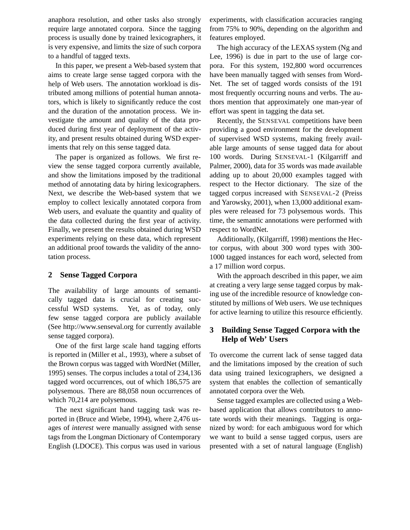anaphora resolution, and other tasks also strongly require large annotated corpora. Since the tagging process is usually done by trained lexicographers, it is very expensive, and limits the size of such corpora to a handful of tagged texts.

In this paper, we present a Web-based system that aims to create large sense tagged corpora with the help of Web users. The annotation workload is distributed among millions of potential human annotators, which is likely to significantly reduce the cost and the duration of the annotation process. We investigate the amount and quality of the data produced during first year of deployment of the activity, and present results obtained during WSD experiments that rely on this sense tagged data.

The paper is organized as follows. We first review the sense tagged corpora currently available, and show the limitations imposed by the traditional method of annotating data by hiring lexicographers. Next, we describe the Web-based system that we employ to collect lexically annotated corpora from Web users, and evaluate the quantity and quality of the data collected during the first year of activity. Finally, we present the results obtained during WSD experiments relying on these data, which represent an additional proof towards the validity of the annotation process.

## **2 Sense Tagged Corpora**

The availability of large amounts of semantically tagged data is crucial for creating successful WSD systems. Yet, as of today, only few sense tagged corpora are publicly available (See http://www.senseval.org for currently available sense tagged corpora).

One of the first large scale hand tagging efforts is reported in (Miller et al., 1993), where a subset of the Brown corpus was tagged with WordNet (Miller, 1995) senses. The corpus includes a total of 234,136 tagged word occurrences, out of which 186,575 are polysemous. There are 88,058 noun occurrences of which 70,214 are polysemous.

The next significant hand tagging task was reported in (Bruce and Wiebe, 1994), where 2,476 usages of *interest* were manually assigned with sense tags from the Longman Dictionary of Contemporary English (LDOCE). This corpus was used in various experiments, with classification accuracies ranging from 75% to 90%, depending on the algorithm and features employed.

The high accuracy of the LEXAS system (Ng and Lee, 1996) is due in part to the use of large corpora. For this system, 192,800 word occurrences have been manually tagged with senses from Word-Net. The set of tagged words consists of the 191 most frequently occurring nouns and verbs. The authors mention that approximately one man-year of effort was spent in tagging the data set.

Recently, the SENSEVAL competitions have been providing a good environment for the development of supervised WSD systems, making freely available large amounts of sense tagged data for about 100 words. During SENSEVAL-1 (Kilgarriff and Palmer, 2000), data for 35 words was made available adding up to about 20,000 examples tagged with respect to the Hector dictionary. The size of the tagged corpus increased with SENSEVAL-2 (Preiss and Yarowsky, 2001), when 13,000 additional examples were released for 73 polysemous words. This time, the semantic annotations were performed with respect to WordNet.

Additionally, (Kilgarriff, 1998) mentions the Hector corpus, with about 300 word types with 300- 1000 tagged instances for each word, selected from a 17 million word corpus.

With the approach described in this paper, we aim at creating a very large sense tagged corpus by making use of the incredible resource of knowledge constituted by millions of Web users. We use techniques for active learning to utilize this resource efficiently.

## **3 Building Sense Tagged Corpora with the Help of Web' Users**

To overcome the current lack of sense tagged data and the limitations imposed by the creation of such data using trained lexicographers, we designed a system that enables the collection of semantically annotated corpora over the Web.

Sense tagged examples are collected using a Webbased application that allows contributors to annotate words with their meanings. Tagging is organized by word: for each ambiguous word for which we want to build a sense tagged corpus, users are presented with a set of natural language (English)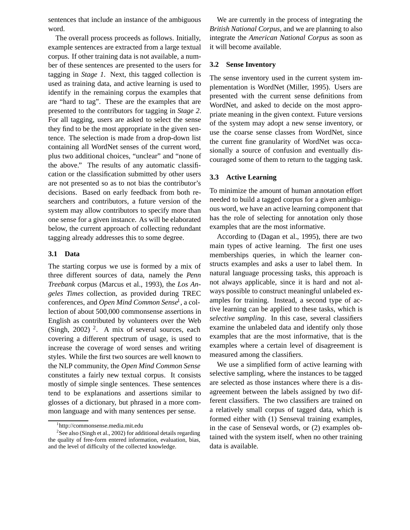sentences that include an instance of the ambiguous word.

The overall process proceeds as follows. Initially, example sentences are extracted from a large textual corpus. If other training data is not available, a number of these sentences are presented to the users for tagging in *Stage 1*. Next, this tagged collection is used as training data, and active learning is used to identify in the remaining corpus the examples that are "hard to tag". These are the examples that are presented to the contributors for tagging in *Stage 2*. For all tagging, users are asked to select the sense they find to be the most appropriate in the given sentence. The selection is made from a drop-down list containing all WordNet senses of the current word, plus two additional choices, "unclear" and "none of the above." The results of any automatic classification or the classification submitted by other users are not presented so as to not bias the contributor's decisions. Based on early feedback from both researchers and contributors, a future version of the system may allow contributors to specify more than one sense for a given instance. As will be elaborated below, the current approach of collecting redundant tagging already addresses this to some degree.

#### **3.1 Data**

The starting corpus we use is formed by a mix of three different sources of data, namely the *Penn Treebank* corpus (Marcus et al., 1993), the *Los Angeles Times* collection, as provided during TREC conferences, and *Open Mind Common Sense*1, a collection of about 500,000 commonsense assertions in English as contributed by volunteers over the Web (Singh, 2002)<sup>2</sup>. A mix of several sources, each covering a different spectrum of usage, is used to increase the coverage of word senses and writing styles. While the first two sources are well known to the NLP community, the *Open Mind Common Sense* constitutes a fairly new textual corpus. It consists mostly of simple single sentences. These sentences tend to be explanations and assertions similar to glosses of a dictionary, but phrased in a more common language and with many sentences per sense.

We are currently in the process of integrating the *British National Corpus*, and we are planning to also integrate the *American National Corpus* as soon as it will become available.

#### **3.2 Sense Inventory**

The sense inventory used in the current system implementation is WordNet (Miller, 1995). Users are presented with the current sense definitions from WordNet, and asked to decide on the most appropriate meaning in the given context. Future versions of the system may adopt a new sense inventory, or use the coarse sense classes from WordNet, since the current fine granularity of WordNet was occasionally a source of confusion and eventually discouraged some of them to return to the tagging task.

#### **3.3 Active Learning**

To minimize the amount of human annotation effort needed to build a tagged corpus for a given ambiguous word, we have an active learning component that has the role of selecting for annotation only those examples that are the most informative.

According to (Dagan et al., 1995), there are two main types of active learning. The first one uses memberships queries, in which the learner constructs examples and asks a user to label them. In natural language processing tasks, this approach is not always applicable, since it is hard and not always possible to construct meaningful unlabeled examples for training. Instead, a second type of active learning can be applied to these tasks, which is *selective sampling*. In this case, several classifiers examine the unlabeled data and identify only those examples that are the most informative, that is the examples where a certain level of disagreement is measured among the classifiers.

We use a simplified form of active learning with selective sampling, where the instances to be tagged are selected as those instances where there is a disagreement between the labels assigned by two different classifiers. The two classifiers are trained on a relatively small corpus of tagged data, which is formed either with (1) Senseval training examples, in the case of Senseval words, or (2) examples obtained with the system itself, when no other training data is available.

<sup>1</sup> http://commonsense.media.mit.edu

 $2$ See also (Singh et al., 2002) for additional details regarding the quality of free-form entered information, evaluation, bias, and the level of difficulty of the collected knowledge.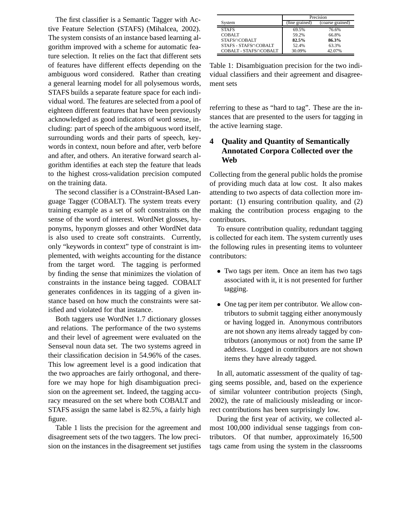The first classifier is a Semantic Tagger with Active Feature Selection (STAFS) (Mihalcea, 2002). The system consists of an instance based learning algorithm improved with a scheme for automatic feature selection. It relies on the fact that different sets of features have different effects depending on the ambiguous word considered. Rather than creating a general learning model for all polysemous words, STAFS builds a separate feature space for each individual word. The features are selected from a pool of eighteen different features that have been previously acknowledged as good indicators of word sense, including: part of speech of the ambiguous word itself, surrounding words and their parts of speech, keywords in context, noun before and after, verb before and after, and others. An iterative forward search algorithm identifies at each step the feature that leads to the highest cross-validation precision computed on the training data.

The second classifier is a COnstraint-BAsed Language Tagger (COBALT). The system treats every training example as a set of soft constraints on the sense of the word of interest. WordNet glosses, hyponyms, hyponym glosses and other WordNet data is also used to create soft constraints. Currently, only "keywords in context" type of constraint is implemented, with weights accounting for the distance from the target word. The tagging is performed by finding the sense that minimizes the violation of constraints in the instance being tagged. COBALT generates confidences in its tagging of a given instance based on how much the constraints were satisfied and violated for that instance.

Both taggers use WordNet 1.7 dictionary glosses and relations. The performance of the two systems and their level of agreement were evaluated on the Senseval noun data set. The two systems agreed in their classification decision in 54.96% of the cases. This low agreement level is a good indication that the two approaches are fairly orthogonal, and therefore we may hope for high disambiguation precision on the agreement set. Indeed, the tagging accuracy measured on the set where both COBALT and STAFS assign the same label is 82.5%, a fairly high figure.

Table 1 lists the precision for the agreement and disagreement sets of the two taggers. The low precision on the instances in the disagreement set justifies

|                       | Precision      |                  |  |  |  |
|-----------------------|----------------|------------------|--|--|--|
| System                | (fine grained) | (coarse grained) |  |  |  |
| <b>STAFS</b>          | 69.5%          | 76.6%            |  |  |  |
| <b>COBALT</b>         | 59.2%          | 66.8%            |  |  |  |
| <b>STAFSOCOBALT</b>   | 82.5%          | 86.3%            |  |  |  |
| STAFS - STAFS∩COBALT  | 52.4%          | 63.3%            |  |  |  |
| COBALT - STAFS∩COBALT | 30.09%         | 42.07%           |  |  |  |

Table 1: Disambiguation precision for the two individual classifiers and their agreement and disagreement sets

referring to these as "hard to tag". These are the instances that are presented to the users for tagging in the active learning stage.

## **4 Quality and Quantity of Semantically Annotated Corpora Collected over the Web**

Collecting from the general public holds the promise of providing much data at low cost. It also makes attending to two aspects of data collection more important: (1) ensuring contribution quality, and (2) making the contribution process engaging to the contributors.

To ensure contribution quality, redundant tagging is collected for each item. The system currently uses the following rules in presenting items to volunteer contributors:

- Two tags per item. Once an item has two tags associated with it, it is not presented for further tagging.
- One tag per item per contributor. We allow contributors to submit tagging either anonymously or having logged in. Anonymous contributors are not shown any items already tagged by contributors (anonymous or not) from the same IP address. Logged in contributors are not shown items they have already tagged.

In all, automatic assessment of the quality of tagging seems possible, and, based on the experience of similar volunteer contribution projects (Singh, 2002), the rate of maliciously misleading or incorrect contributions has been surprisingly low.

During the first year of activity, we collected almost 100,000 individual sense taggings from contributors. Of that number, approximately 16,500 tags came from using the system in the classrooms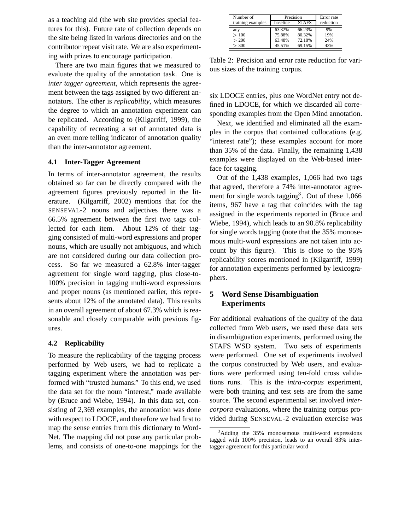as a teaching aid (the web site provides special features for this). Future rate of collection depends on the site being listed in various directories and on the contributor repeat visit rate. We are also experimenting with prizes to encourage participation.

There are two main figures that we measured to evaluate the quality of the annotation task. One is *inter tagger agreement*, which represents the agreement between the tags assigned by two different annotators. The other is *replicability*, which measures the degree to which an annotation experiment can be replicated. According to (Kilgarriff, 1999), the capability of recreating a set of annotated data is an even more telling indicator of annotation quality than the inter-annotator agreement.

## **4.1 Inter-Tagger Agreement**

In terms of inter-annotator agreement, the results obtained so far can be directly compared with the agreement figures previously reported in the literature. (Kilgarriff, 2002) mentions that for the SENSEVAL-2 nouns and adjectives there was a 66.5% agreement between the first two tags collected for each item. About 12% of their tagging consisted of multi-word expressions and proper nouns, which are usually not ambiguous, and which are not considered during our data collection process. So far we measured a 62.8% inter-tagger agreement for single word tagging, plus close-to-100% precision in tagging multi-word expressions and proper nouns (as mentioned earlier, this represents about 12% of the annotated data). This results in an overall agreement of about 67.3% which is reasonable and closely comparable with previous figures.

## **4.2 Replicability**

To measure the replicability of the tagging process performed by Web users, we had to replicate a tagging experiment where the annotation was performed with "trusted humans." To this end, we used the data set for the noun "interest," made available by (Bruce and Wiebe, 1994). In this data set, consisting of 2,369 examples, the annotation was done with respect to LDOCE, and therefore we had first to map the sense entries from this dictionary to Word-Net. The mapping did not pose any particular problems, and consists of one-to-one mappings for the

| Number of         | Precision | Error rate   |           |  |
|-------------------|-----------|--------------|-----------|--|
| training examples | baseline  | <b>STAFS</b> | reduction |  |
| any               | 63.32%    | 66.23%       | 9%        |  |
| >100              | 75.88%    | 80.32%       | 19%       |  |
| > 200             | 63.48%    | 72.18%       | 24%       |  |
| > 300             | 45.51%    | 69.15%       | 43%       |  |

Table 2: Precision and error rate reduction for various sizes of the training corpus.

six LDOCE entries, plus one WordNet entry not defined in LDOCE, for which we discarded all corresponding examples from the Open Mind annotation.

Next, we identified and eliminated all the examples in the corpus that contained collocations (e.g. "interest rate"); these examples account for more than 35% of the data. Finally, the remaining 1,438 examples were displayed on the Web-based interface for tagging.

Out of the 1,438 examples, 1,066 had two tags that agreed, therefore a 74% inter-annotator agreement for single words tagging<sup>3</sup>. Out of these  $1,066$ items, 967 have a tag that coincides with the tag assigned in the experiments reported in (Bruce and Wiebe, 1994), which leads to an 90.8% replicability for single words tagging (note that the 35% monosemous multi-word expressions are not taken into account by this figure). This is close to the 95% replicability scores mentioned in (Kilgarriff, 1999) for annotation experiments performed by lexicographers.

## **5 Word Sense Disambiguation Experiments**

For additional evaluations of the quality of the data collected from Web users, we used these data sets in disambiguation experiments, performed using the STAFS WSD system. Two sets of experiments were performed. One set of experiments involved the corpus constructed by Web users, and evaluations were performed using ten-fold cross validations runs. This is the *intra-corpus* experiment, were both training and test sets are from the same source. The second experimental set involved *intercorpora* evaluations, where the training corpus provided during SENSEVAL-2 evaluation exercise was

<sup>&</sup>lt;sup>3</sup>Adding the 35% monosemous multi-word expressions tagged with 100% precision, leads to an overall 83% intertagger agreement for this particular word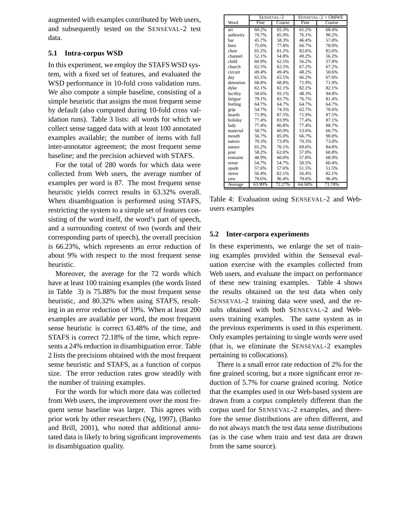augmented with examples contributed by Web users, and subsequently tested on the SENSEVAL-2 test data.

## **5.1 Intra-corpus WSD**

In this experiment, we employ the STAFS WSD system, with a fixed set of features, and evaluated the WSD performance in 10-fold cross validation runs. We also compute a simple baseline, consisting of a simple heuristic that assigns the most frequent sense by default (also computed during 10-fold cross validation runs). Table 3 lists: all words for which we collect sense tagged data with at least 100 annotated examples available; the number of items with full inter-annotator agreement; the most frequent sense baseline; and the precision achieved with STAFS.

For the total of 280 words for which data were collected from Web users, the average number of examples per word is 87. The most frequent sense heuristic yields correct results in 63.32% overall. When disambiguation is performed using STAFS, restricting the system to a simple set of features consisting of the word itself, the word's part of speech, and a surrounding context of two (words and their corresponding parts of speech), the overall precision is 66.23%, which represents an error reduction of about 9% with respect to the most frequent sense heuristic.

Moreover, the average for the 72 words which have at least 100 training examples (the words listed in Table 3) is 75.88% for the most frequent sense heuristic, and 80.32% when using STAFS, resulting in an error reduction of 19%. When at least 200 examples are available per word, the most frequent sense heuristic is correct 63.48% of the time, and STAFS is correct 72.18% of the time, which represents a 24% reduction in disambiguation error. Table 2 lists the precisions obtained with the most frequent sense heuristic and STAFS, as a function of corpus size. The error reduction rates grow steadily with the number of training examples.

For the words for which more data was collected from Web users, the improvement over the most frequent sense baseline was larger. This agrees with prior work by other researchers (Ng, 1997), (Banko and Brill, 2001), who noted that additional annotated data is likely to bring significant improvements in disambiguation quality.

|           | SENSEVAL-2 |        | $SENSEVAL-2 + OMWE$ |        |  |  |
|-----------|------------|--------|---------------------|--------|--|--|
| Word      | Fine       | Coarse | Fine                | Coarse |  |  |
| art       | 60.2%      | 65.3%  | 61.2%               | 68.4%  |  |  |
| authority | 70.7%      | 85.9%  | 76.1%               | 90.2%  |  |  |
| bar       | 45.7%      | 58.3%  | 46.4%               | 57.0%  |  |  |
| bum       | 75.6%      | 77.8%  | 66.7%               | 78.9%  |  |  |
| chair     | 81.2%      | 81.2%  | 82.6%               | 82.6%  |  |  |
| channel   | 52.1%      | 54.8%  | 49.2%               | 56.2%  |  |  |
| child     | 60.9%      | 62.5%  | 56.2%               | 57.8%  |  |  |
| church    | 62.5%      | 62.5%  | 67.2%               | 67.2%  |  |  |
| circuit   | 49.4%      | 49.4%  | 48.2%               | 50.6%  |  |  |
| day       | 65.5%      | 65.5%  | 66.2%               | 67.6%  |  |  |
| detention | 68.8%      | 68.8%  | 71.9%               | 71.9%  |  |  |
| dyke      | 82.1%      | 82.1%  | 82.1%               | 82.1%  |  |  |
| facility  | 58.6%      | 93.1%  | 48.3%               | 94.8%  |  |  |
| fatigue   | 79.1%      | 83.7%  | 76.7%               | 81.4%  |  |  |
| feeling   | 64.7%      | 64.7%  | 64.7%               | 64.7%  |  |  |
| grip      | 54.7%      | 74.5%  | 62.7%               | 70.6%  |  |  |
| hearth    | 71.9%      | 87.5%  | 71.9%               | 87.5%  |  |  |
| holiday   | 77.4%      | 83.9%  | 77.4%               | 87.1%  |  |  |
| lady      | 77.4%      | 86.8%  | 77.4%               | 88.7%  |  |  |
| material  | 50.7%      | 60.9%  | 53.6%               | 66.7%  |  |  |
| mouth     | 56.7%      | 85.0%  | 66.7%               | 90.0%  |  |  |
| nation    | 70.3%      | 73.0%  | 70.3%               | 73.0%  |  |  |
| nature    | 65.2%      | 76.1%  | 69.6%               | 84.8%  |  |  |
| post      | 58.2%      | 62.0%  | 57.0%               | 60.8%  |  |  |
| restraint | 48.9%      | 60.0%  | 57.8%               | 68.9%  |  |  |
| sense     | 54.7%      | 54.7%  | 58.5%               | 60.4%  |  |  |
| spade     | 57.6%      | 57.6%  | 51.5%               | 51.5%  |  |  |
| stress    | 56.4%      | 82.1%  | 56.4%               | 82.1%  |  |  |
| yew       | 78.6%      | 96.4%  | 78.6%               | 96.4%  |  |  |
| Average   | 63.99%     | 72.27% | 64.58%              | 73.78% |  |  |

Table 4: Evaluation using SENSEVAL-2 and Webusers examples

## **5.2 Inter-corpora experiments**

In these experiments, we enlarge the set of training examples provided within the Senseval evaluation exercise with the examples collected from Web users, and evaluate the impact on performance of these new training examples. Table 4 shows the results obtained on the test data when only SENSEVAL-2 training data were used, and the results obtained with both SENSEVAL-2 and Webusers training examples. The same system as in the previous experiments is used in this experiment. Only examples pertaining to single words were used (that is, we eliminate the SENSEVAL-2 examples pertaining to collocations).

There is a small error rate reduction of 2% for the fine grained scoring, but a more significant error reduction of 5.7% for coarse grained scoring. Notice that the examples used in our Web-based system are drawn from a corpus completely different than the corpus used for SENSEVAL-2 examples, and therefore the sense distributions are often different, and do not always match the test data sense distributions (as is the case when train and test data are drawn from the same source).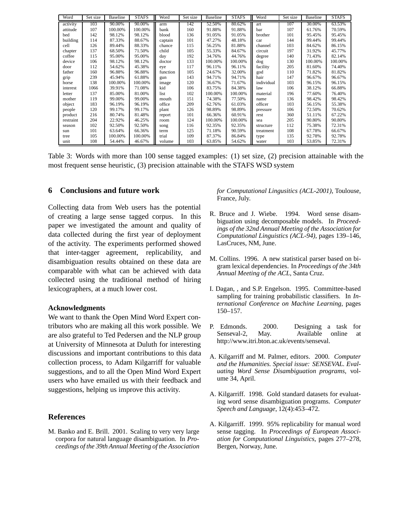| Word      | Set size | Baseline | <b>STAFS</b> | Word     | Set size | Baseline | <b>STAFS</b> | Word       | Set size | <b>Baseline</b> | <b>STAFS</b> |
|-----------|----------|----------|--------------|----------|----------|----------|--------------|------------|----------|-----------------|--------------|
| activity  | 103      | 90.00%   | 90.00%       | arm      | 142      | 52.50%   | 80.62%       | art        | 107      | 30.00%          | 63.53%       |
| attitude  | 107      | 100.00%  | 100.00%      | bank     | 160      | 91.88%   | 91.88%       | bar        | 107      | 61.76%          | 70.59%       |
| bed       | 142      | 98.12%   | 98.12%       | blood    | 136      | 91.05%   | 91.05%       | brother    | 101      | 95.45%          | 95.45%       |
| building  | 114      | 87.33%   | 88.67%       | captain  | 101      | 47.27%   | 48.18%       | car        | 144      | 99.44%          | 99.44%       |
| cell      | 126      | 89.44%   | 88.33%       | chance   | 115      | 56.25%   | 81.88%       | channel    | 103      | 84.62%          | 86.15%       |
| chapter   | 137      | 68.50%   | 71.50%       | child    | 105      | 55.33%   | 84.67%       | circuit    | 197      | 31.92%          | 45.77%       |
| coffee    | 115      | 95.00%   | 95.00%       | day      | 192      | 34.76%   | 44.76%       | degree     | 140      | 71.43%          | 82.14%       |
| device    | 106      | 98.12%   | 98.12%       | doctor   | 133      | 100.00%  | 100.00%      | dog        | 130      | 100.00%         | 100.00%      |
| door      | 112      | 54.62%   | 45.38%       | eye      | 117      | 96.11%   | 96.11%       | facility   | 205      | 81.60%          | 74.40%       |
| father    | 160      | 96.88%   | 96.88%       | function | 105      | 24.67%   | 32.00%       | god        | 110      | 71.82%          | 81.82%       |
| grip      | 239      | 45.94%   | 61.88%       | gun      | 143      | 94.71%   | 94.71%       | hair       | 147      | 96.67%          | 96.67%       |
| horse     | 138      | 100.00%  | 100.00%      | image    | 120      | 36.67%   | 71.67%       | individual | 103      | 96.15%          | 96.15%       |
| interest  | 1066     | 39.91%   | 71.08%       | kid      | 106      | 83.75%   | 84.38%       | law        | 106      | 38.12%          | 66.88%       |
| letter    | 137      | 85.00%   | 81.00%       | list     | 102      | 100.00%  | 100.00%      | material   | 196      | 77.60%          | 76.40%       |
| mother    | 119      | 99.00%   | 99.00%       | mouth    | 151      | 74.38%   | 77.50%       | name       | 136      | 98.42%          | 98.42%       |
| object    | 183      | 96.19%   | 96.19%       | office   | 209      | 62.76%   | 61.03%       | officer    | 103      | 56.15%          | 55.38%       |
| people    | 120      | 99.17%   | 99.17%       | plant    | 126      | 98.89%   | 98.89%       | pressure   | 106      | 72.50%          | 70.62%       |
| product   | 216      | 80.74%   | 81.48%       | report   | 101      | 66.36%   | 60.91%       | rest       | 360      | 51.11%          | 67.22%       |
| restraint | 204      | 22.92%   | 46.25%       | room     | 124      | 100.00%  | 100.00%      | sea        | 205      | 90.80%          | 90.80%       |
| season    | 102      | 92.50%   | 92.50%       | song     | 116      | 92.35%   | 92.35%       | structure  | 112      | 75.38%          | 72.31%       |
| sun       | 101      | 63.64%   | 66.36%       | term     | 125      | 71.18%   | 90.59%       | treatment  | 108      | 67.78%          | 66.67%       |
| tree      | 105      | 100.00%  | 100.00%      | trial    | 109      | 87.37%   | 86.84%       | type       | 135      | 92.78%          | 92.78%       |
| unit      | 108      | 54.44%   | 46.67%       | volume   | 103      | 63.85%   | 54.62%       | water      | 103      | 53.85%          | 72.31%       |

Table 3: Words with more than 100 sense tagged examples: (1) set size, (2) precision attainable with the most frequent sense heuristic, (3) precision attainable with the STAFS WSD system

#### **6 Conclusions and future work**

Collecting data from Web users has the potential of creating a large sense tagged corpus. In this paper we investigated the amount and quality of data collected during the first year of deployment of the activity. The experiments performed showed that inter-tagger agreement, replicability, and disambiguation results obtained on these data are comparable with what can be achieved with data collected using the traditional method of hiring lexicographers, at a much lower cost.

#### **Acknowledgments**

We want to thank the Open Mind Word Expert contributors who are making all this work possible. We are also grateful to Ted Pedersen and the NLP group at University of Minnesota at Duluth for interesting discussions and important contributions to this data collection process, to Adam Kilgarriff for valuable suggestions, and to all the Open Mind Word Expert users who have emailed us with their feedback and suggestions, helping us improve this activity.

#### **References**

M. Banko and E. Brill. 2001. Scaling to very very large corpora for natural language disambiguation. In *Proceedings of the 39th Annual Meeting of the Association* *for Computational Lingusitics (ACL-2001)*, Toulouse, France, July.

- R. Bruce and J. Wiebe. 1994. Word sense disambiguation using decomposable models. In *Proceedings of the 32nd Annual Meeting of the Association for Computational Linguistics (ACL-94)*, pages 139–146, LasCruces, NM, June.
- M. Collins. 1996. A new statistical parser based on bigram lexical dependencies. In *Proceedings of the 34th Annual Meeting of the ACL*, Santa Cruz.
- I. Dagan, , and S.P. Engelson. 1995. Committee-based sampling for training probabilistic classifiers. In *International Conference on Machine Learning*, pages 150–157.
- P. Edmonds. 2000. Designing a task for Senseval-2, May. Available online at http://www.itri.bton.ac.uk/events/senseval.
- A. Kilgarriff and M. Palmer, editors. 2000. *Computer and the Humanities. Special issue: SENSEVAL. Evaluating Word Sense Disambiguation programs*, volume 34, April.
- A. Kilgarriff. 1998. Gold standard datasets for evaluating word sense disambiguation programs. *Computer Speech and Language*, 12(4):453–472.
- A. Kilgarriff. 1999. 95% replicability for manual word sense tagging. In *Proceedings of European Association for Computational Linguistics*, pages 277–278, Bergen, Norway, June.